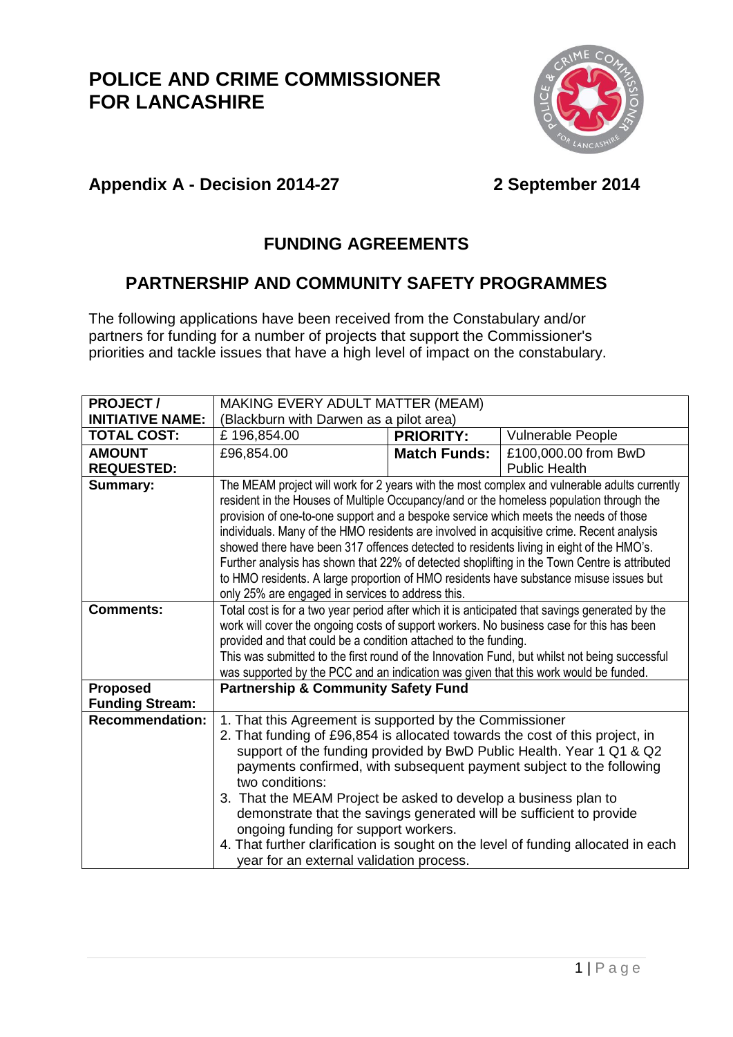

#### **Appendix A - Decision 2014-27 2 September 2014**

### **FUNDING AGREEMENTS**

#### **PARTNERSHIP AND COMMUNITY SAFETY PROGRAMMES**

The following applications have been received from the Constabulary and/or partners for funding for a number of projects that support the Commissioner's priorities and tackle issues that have a high level of impact on the constabulary.

| <b>PROJECT/</b>                                  | MAKING EVERY ADULT MATTER (MEAM)                                                                                                        |                     |                      |  |
|--------------------------------------------------|-----------------------------------------------------------------------------------------------------------------------------------------|---------------------|----------------------|--|
| <b>INITIATIVE NAME:</b>                          | (Blackburn with Darwen as a pilot area)                                                                                                 |                     |                      |  |
| <b>TOTAL COST:</b>                               | £196,854.00                                                                                                                             | <b>PRIORITY:</b>    | Vulnerable People    |  |
| <b>AMOUNT</b>                                    | £96,854.00                                                                                                                              | <b>Match Funds:</b> | £100,000.00 from BwD |  |
| <b>REQUESTED:</b>                                |                                                                                                                                         |                     | <b>Public Health</b> |  |
| <b>Summary:</b>                                  | The MEAM project will work for 2 years with the most complex and vulnerable adults currently                                            |                     |                      |  |
|                                                  | resident in the Houses of Multiple Occupancy/and or the homeless population through the                                                 |                     |                      |  |
|                                                  | provision of one-to-one support and a bespoke service which meets the needs of those                                                    |                     |                      |  |
|                                                  | individuals. Many of the HMO residents are involved in acquisitive crime. Recent analysis                                               |                     |                      |  |
|                                                  | showed there have been 317 offences detected to residents living in eight of the HMO's.                                                 |                     |                      |  |
|                                                  | Further analysis has shown that 22% of detected shoplifting in the Town Centre is attributed                                            |                     |                      |  |
|                                                  | to HMO residents. A large proportion of HMO residents have substance misuse issues but                                                  |                     |                      |  |
|                                                  | only 25% are engaged in services to address this.                                                                                       |                     |                      |  |
| <b>Comments:</b>                                 | Total cost is for a two year period after which it is anticipated that savings generated by the                                         |                     |                      |  |
|                                                  | work will cover the ongoing costs of support workers. No business case for this has been                                                |                     |                      |  |
|                                                  | provided and that could be a condition attached to the funding.                                                                         |                     |                      |  |
|                                                  | This was submitted to the first round of the Innovation Fund, but whilst not being successful                                           |                     |                      |  |
|                                                  | was supported by the PCC and an indication was given that this work would be funded.                                                    |                     |                      |  |
| <b>Proposed</b>                                  | <b>Partnership &amp; Community Safety Fund</b>                                                                                          |                     |                      |  |
| <b>Funding Stream:</b><br><b>Recommendation:</b> |                                                                                                                                         |                     |                      |  |
|                                                  | 1. That this Agreement is supported by the Commissioner<br>2. That funding of £96,854 is allocated towards the cost of this project, in |                     |                      |  |
|                                                  | support of the funding provided by BwD Public Health. Year 1 Q1 & Q2                                                                    |                     |                      |  |
|                                                  | payments confirmed, with subsequent payment subject to the following                                                                    |                     |                      |  |
|                                                  | two conditions:                                                                                                                         |                     |                      |  |
|                                                  | 3. That the MEAM Project be asked to develop a business plan to                                                                         |                     |                      |  |
|                                                  | demonstrate that the savings generated will be sufficient to provide                                                                    |                     |                      |  |
|                                                  | ongoing funding for support workers.                                                                                                    |                     |                      |  |
|                                                  | 4. That further clarification is sought on the level of funding allocated in each                                                       |                     |                      |  |
|                                                  | year for an external validation process.                                                                                                |                     |                      |  |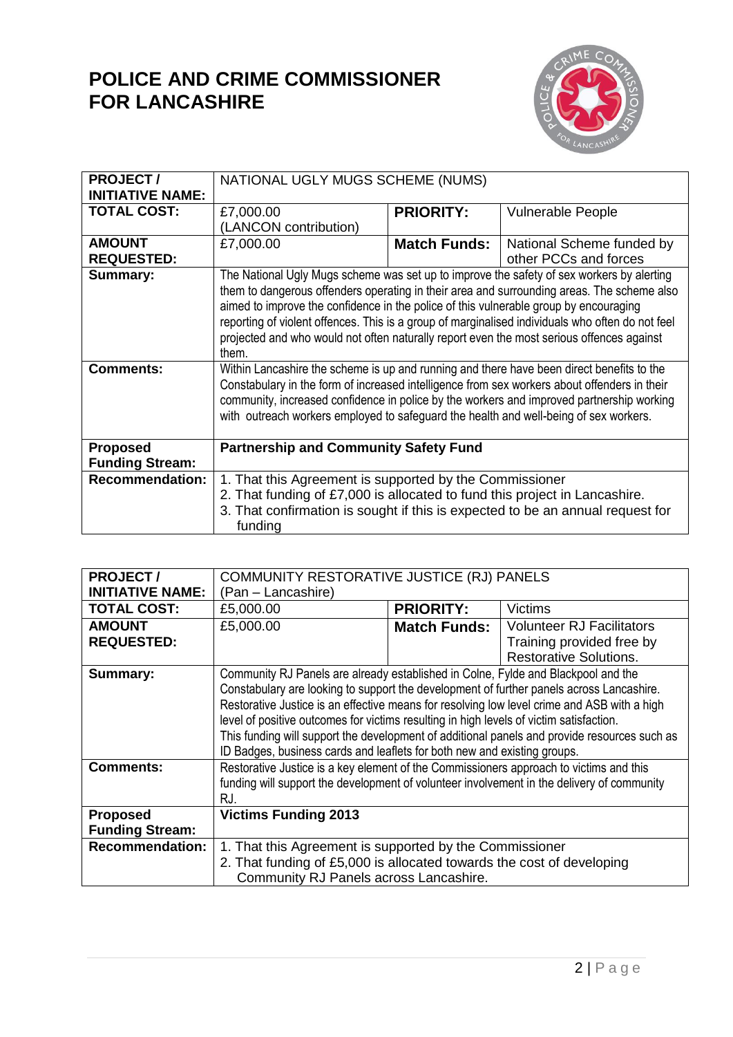

| <b>PROJECT/</b>                           | NATIONAL UGLY MUGS SCHEME (NUMS)                                                                                                                                                                                                                                                                                                                                                                                                                                                           |                     |                                                                                |
|-------------------------------------------|--------------------------------------------------------------------------------------------------------------------------------------------------------------------------------------------------------------------------------------------------------------------------------------------------------------------------------------------------------------------------------------------------------------------------------------------------------------------------------------------|---------------------|--------------------------------------------------------------------------------|
| <b>INITIATIVE NAME:</b>                   |                                                                                                                                                                                                                                                                                                                                                                                                                                                                                            |                     |                                                                                |
| <b>TOTAL COST:</b>                        | £7,000.00                                                                                                                                                                                                                                                                                                                                                                                                                                                                                  | <b>PRIORITY:</b>    | <b>Vulnerable People</b>                                                       |
|                                           | (LANCON contribution)                                                                                                                                                                                                                                                                                                                                                                                                                                                                      |                     |                                                                                |
| <b>AMOUNT</b>                             | £7,000.00                                                                                                                                                                                                                                                                                                                                                                                                                                                                                  | <b>Match Funds:</b> | National Scheme funded by                                                      |
| <b>REQUESTED:</b>                         |                                                                                                                                                                                                                                                                                                                                                                                                                                                                                            |                     | other PCCs and forces                                                          |
| <b>Summary:</b>                           | The National Ugly Mugs scheme was set up to improve the safety of sex workers by alerting<br>them to dangerous offenders operating in their area and surrounding areas. The scheme also<br>aimed to improve the confidence in the police of this vulnerable group by encouraging<br>reporting of violent offences. This is a group of marginalised individuals who often do not feel<br>projected and who would not often naturally report even the most serious offences against<br>them. |                     |                                                                                |
| <b>Comments:</b>                          | Within Lancashire the scheme is up and running and there have been direct benefits to the<br>Constabulary in the form of increased intelligence from sex workers about offenders in their<br>community, increased confidence in police by the workers and improved partnership working<br>with outreach workers employed to safeguard the health and well-being of sex workers.                                                                                                            |                     |                                                                                |
| <b>Proposed</b><br><b>Funding Stream:</b> | <b>Partnership and Community Safety Fund</b>                                                                                                                                                                                                                                                                                                                                                                                                                                               |                     |                                                                                |
| <b>Recommendation:</b>                    | 1. That this Agreement is supported by the Commissioner<br>2. That funding of £7,000 is allocated to fund this project in Lancashire.<br>funding                                                                                                                                                                                                                                                                                                                                           |                     | 3. That confirmation is sought if this is expected to be an annual request for |

| <b>PROJECT/</b>         | COMMUNITY RESTORATIVE JUSTICE (RJ) PANELS                                                    |                     |                                  |
|-------------------------|----------------------------------------------------------------------------------------------|---------------------|----------------------------------|
| <b>INITIATIVE NAME:</b> | (Pan - Lancashire)                                                                           |                     |                                  |
| <b>TOTAL COST:</b>      | £5,000.00                                                                                    | <b>PRIORITY:</b>    | Victims                          |
| <b>AMOUNT</b>           | £5,000.00                                                                                    | <b>Match Funds:</b> | <b>Volunteer RJ Facilitators</b> |
| <b>REQUESTED:</b>       |                                                                                              |                     | Training provided free by        |
|                         |                                                                                              |                     | <b>Restorative Solutions.</b>    |
| Summary:                | Community RJ Panels are already established in Colne, Fylde and Blackpool and the            |                     |                                  |
|                         | Constabulary are looking to support the development of further panels across Lancashire.     |                     |                                  |
|                         | Restorative Justice is an effective means for resolving low level crime and ASB with a high  |                     |                                  |
|                         | level of positive outcomes for victims resulting in high levels of victim satisfaction.      |                     |                                  |
|                         | This funding will support the development of additional panels and provide resources such as |                     |                                  |
|                         | ID Badges, business cards and leaflets for both new and existing groups.                     |                     |                                  |
| <b>Comments:</b>        | Restorative Justice is a key element of the Commissioners approach to victims and this       |                     |                                  |
|                         | funding will support the development of volunteer involvement in the delivery of community   |                     |                                  |
|                         | RJ.                                                                                          |                     |                                  |
| <b>Proposed</b>         | <b>Victims Funding 2013</b>                                                                  |                     |                                  |
| <b>Funding Stream:</b>  |                                                                                              |                     |                                  |
| <b>Recommendation:</b>  | 1. That this Agreement is supported by the Commissioner                                      |                     |                                  |
|                         | 2. That funding of £5,000 is allocated towards the cost of developing                        |                     |                                  |
|                         | Community RJ Panels across Lancashire.                                                       |                     |                                  |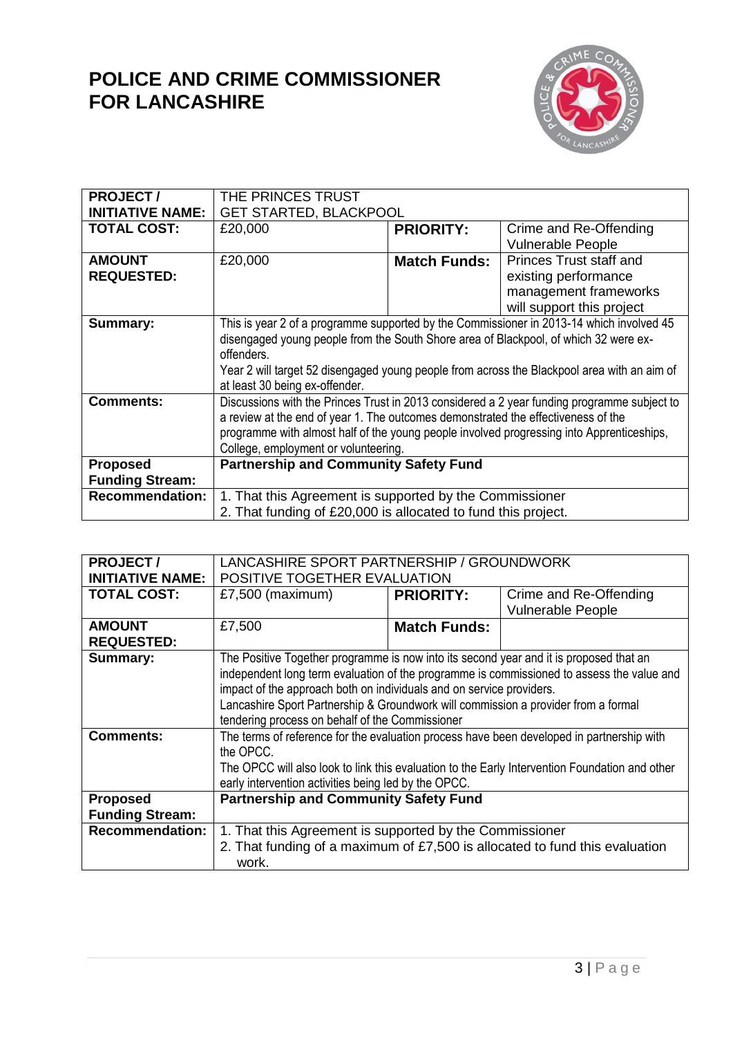

| <b>PROJECT/</b>         | THE PRINCES TRUST                                                                           |                     |                                |
|-------------------------|---------------------------------------------------------------------------------------------|---------------------|--------------------------------|
| <b>INITIATIVE NAME:</b> | <b>GET STARTED, BLACKPOOL</b>                                                               |                     |                                |
| <b>TOTAL COST:</b>      | £20,000                                                                                     | <b>PRIORITY:</b>    | Crime and Re-Offending         |
|                         |                                                                                             |                     | <b>Vulnerable People</b>       |
| <b>AMOUNT</b>           | £20,000                                                                                     | <b>Match Funds:</b> | <b>Princes Trust staff and</b> |
| <b>REQUESTED:</b>       |                                                                                             |                     | existing performance           |
|                         |                                                                                             |                     | management frameworks          |
|                         |                                                                                             |                     | will support this project      |
| Summary:                | This is year 2 of a programme supported by the Commissioner in 2013-14 which involved 45    |                     |                                |
|                         | disengaged young people from the South Shore area of Blackpool, of which 32 were ex-        |                     |                                |
|                         | offenders.                                                                                  |                     |                                |
|                         | Year 2 will target 52 disengaged young people from across the Blackpool area with an aim of |                     |                                |
|                         | at least 30 being ex-offender.                                                              |                     |                                |
| <b>Comments:</b>        | Discussions with the Princes Trust in 2013 considered a 2 year funding programme subject to |                     |                                |
|                         | a review at the end of year 1. The outcomes demonstrated the effectiveness of the           |                     |                                |
|                         | programme with almost half of the young people involved progressing into Apprenticeships,   |                     |                                |
|                         | College, employment or volunteering.                                                        |                     |                                |
| <b>Proposed</b>         | <b>Partnership and Community Safety Fund</b>                                                |                     |                                |
| <b>Funding Stream:</b>  |                                                                                             |                     |                                |
| <b>Recommendation:</b>  | 1. That this Agreement is supported by the Commissioner                                     |                     |                                |
|                         | 2. That funding of £20,000 is allocated to fund this project.                               |                     |                                |

| <b>PROJECT/</b>         | LANCASHIRE SPORT PARTNERSHIP / GROUNDWORK                                                      |                     |                          |
|-------------------------|------------------------------------------------------------------------------------------------|---------------------|--------------------------|
| <b>INITIATIVE NAME:</b> | POSITIVE TOGETHER EVALUATION                                                                   |                     |                          |
| <b>TOTAL COST:</b>      | £7,500 (maximum)                                                                               | <b>PRIORITY:</b>    | Crime and Re-Offending   |
|                         |                                                                                                |                     | <b>Vulnerable People</b> |
| <b>AMOUNT</b>           | £7,500                                                                                         | <b>Match Funds:</b> |                          |
| <b>REQUESTED:</b>       |                                                                                                |                     |                          |
| Summary:                | The Positive Together programme is now into its second year and it is proposed that an         |                     |                          |
|                         | independent long term evaluation of the programme is commissioned to assess the value and      |                     |                          |
|                         | impact of the approach both on individuals and on service providers.                           |                     |                          |
|                         | Lancashire Sport Partnership & Groundwork will commission a provider from a formal             |                     |                          |
|                         | tendering process on behalf of the Commissioner                                                |                     |                          |
| <b>Comments:</b>        | The terms of reference for the evaluation process have been developed in partnership with      |                     |                          |
|                         | the OPCC.                                                                                      |                     |                          |
|                         | The OPCC will also look to link this evaluation to the Early Intervention Foundation and other |                     |                          |
|                         | early intervention activities being led by the OPCC.                                           |                     |                          |
| <b>Proposed</b>         | <b>Partnership and Community Safety Fund</b>                                                   |                     |                          |
| <b>Funding Stream:</b>  |                                                                                                |                     |                          |
| <b>Recommendation:</b>  | 1. That this Agreement is supported by the Commissioner                                        |                     |                          |
|                         | 2. That funding of a maximum of £7,500 is allocated to fund this evaluation                    |                     |                          |
|                         | work.                                                                                          |                     |                          |